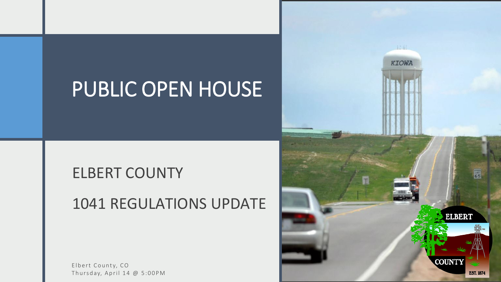### PUBLIC OPEN HOUSE

#### ELBERT COUNTY

#### 1041 REGULATIONS UPDATE

Elbert County, CO

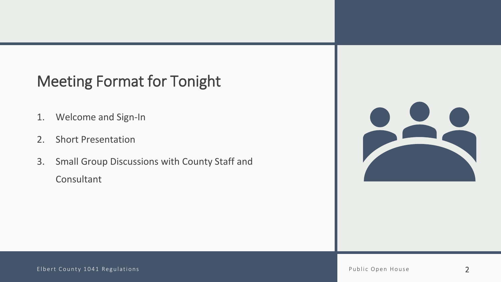#### Meeting Format for Tonight

- 1. Welcome and Sign-In
- 2. Short Presentation
- 3. Small Group Discussions with County Staff and Consultant

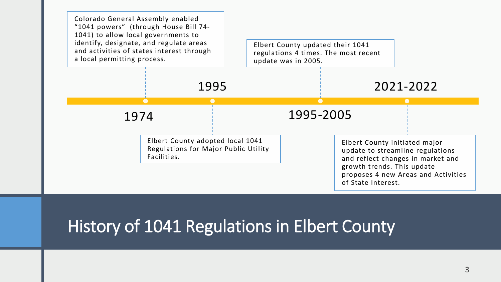

#### History of 1041 Regulations in Elbert County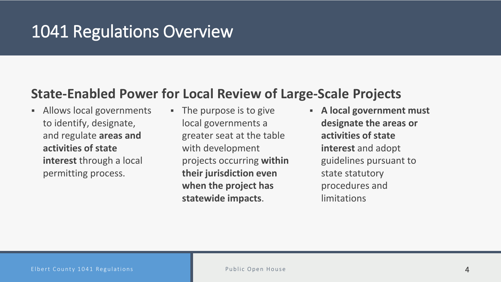#### 1041 Regulations Overview

#### **State-Enabled Power for Local Review of Large-Scale Projects**

- **Allows local governments** to identify, designate, and regulate **areas and activities of state interest** through a local permitting process.
- The purpose is to give local governments a greater seat at the table with development projects occurring **within their jurisdiction even when the project has statewide impacts**.
- **A local government must designate the areas or activities of state interest** and adopt guidelines pursuant to state statutory procedures and limitations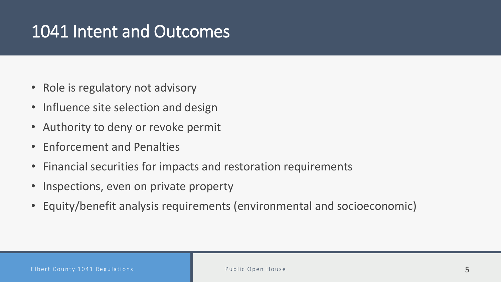#### 1041 Intent and Outcomes

- Role is regulatory not advisory
- Influence site selection and design
- Authority to deny or revoke permit
- Enforcement and Penalties
- Financial securities for impacts and restoration requirements
- Inspections, even on private property
- Equity/benefit analysis requirements (environmental and socioeconomic)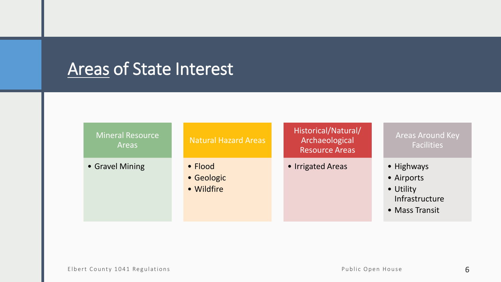### **Areas of State Interest**

| <b>Mineral Resource</b><br>Areas | <b>Natural Hazard Areas</b>         | Historical/Natural/<br>Archaeological<br><b>Resource Areas</b> | <b>Areas Around Key</b><br><b>Facilities</b>                              |
|----------------------------------|-------------------------------------|----------------------------------------------------------------|---------------------------------------------------------------------------|
| • Gravel Mining                  | • Flood<br>• Geologic<br>• Wildfire | • Irrigated Areas                                              | • Highways<br>• Airports<br>• Utility<br>Infrastructure<br>• Mass Transit |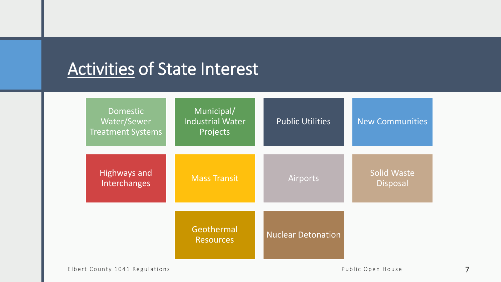### Activities of State Interest

| <b>Domestic</b><br>Water/Sewer<br><b>Treatment Systems</b> | Municipal/<br><b>Industrial Water</b><br>Projects | <b>Public Utilities</b>   | <b>New Communities</b>                |
|------------------------------------------------------------|---------------------------------------------------|---------------------------|---------------------------------------|
| <b>Highways and</b><br>Interchanges                        | <b>Mass Transit</b>                               | <b>Airports</b>           | <b>Solid Waste</b><br><b>Disposal</b> |
|                                                            | Geothermal<br><b>Resources</b>                    | <b>Nuclear Detonation</b> |                                       |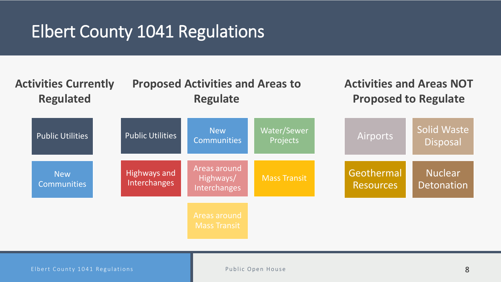#### Elbert County 1041 Regulations



Elbert County 1041 Regulations and the Public Open House 8 and 200 million and 3 and 3 and 3 and 3 and 3 and 3 and 4 and 4 and 4 and 4 and 4 and 4 and 4 and 4 and 4 and 4 and 4 and 4 and 4 and 4 and 4 and 4 and 4 and 4 and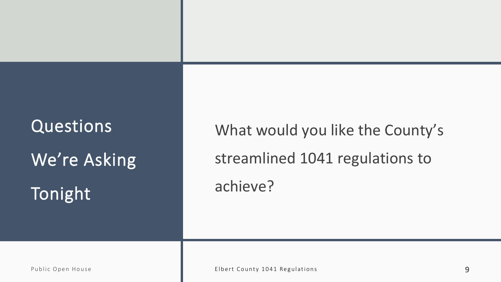What would you like the County's streamlined 1041 regulations to achieve?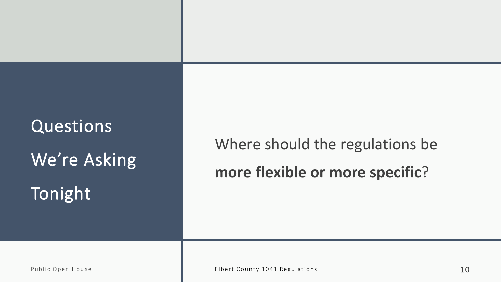### Where should the regulations be **more flexible or more specific**?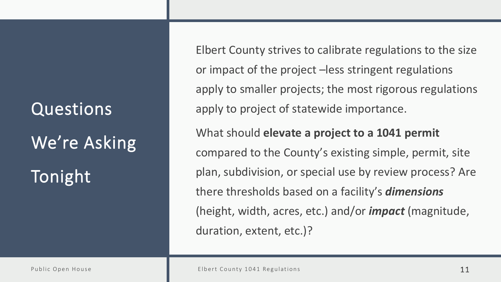Elbert County strives to calibrate regulations to the size or impact of the project –less stringent regulations apply to smaller projects; the most rigorous regulations apply to project of statewide importance. What should **elevate a project to a 1041 permit** 

compared to the County's existing simple, permit, site plan, subdivision, or special use by review process? Are there thresholds based on a facility's *dimensions* (height, width, acres, etc.) and/or *impact* (magnitude, duration, extent, etc.)?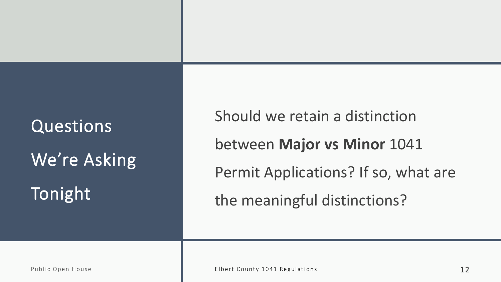Should we retain a distinction between **Major vs Minor** 1041 Permit Applications? If so, what are the meaningful distinctions?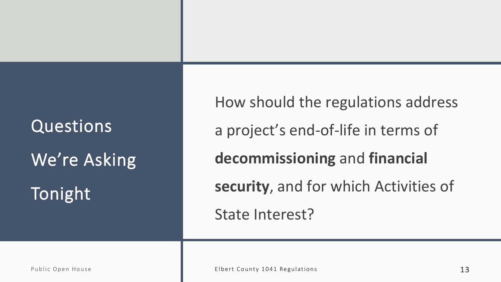How should the regulations address a project's end-of-life in terms of **decommissioning** and **financial security**, and for which Activities of State Interest?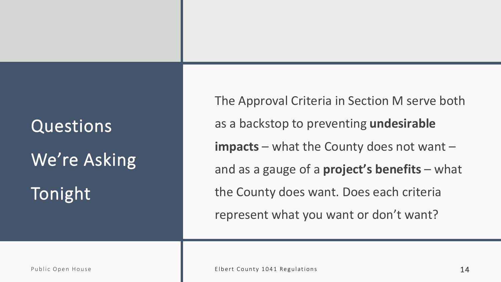### Questions We're Asking

Tonight

The Approval Criteria in Section M serve both as a backstop to preventing **undesirable impacts** – what the County does not want – and as a gauge of a **project's benefits** – what the County does want. Does each criteria represent what you want or don't want?